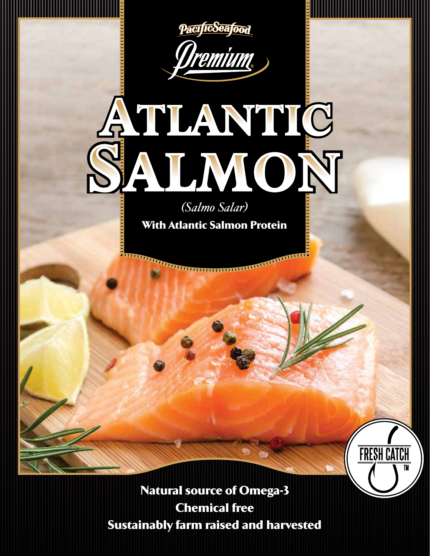

Natural source of Omega-3 Chemical free Sustainably farm raised and harvested